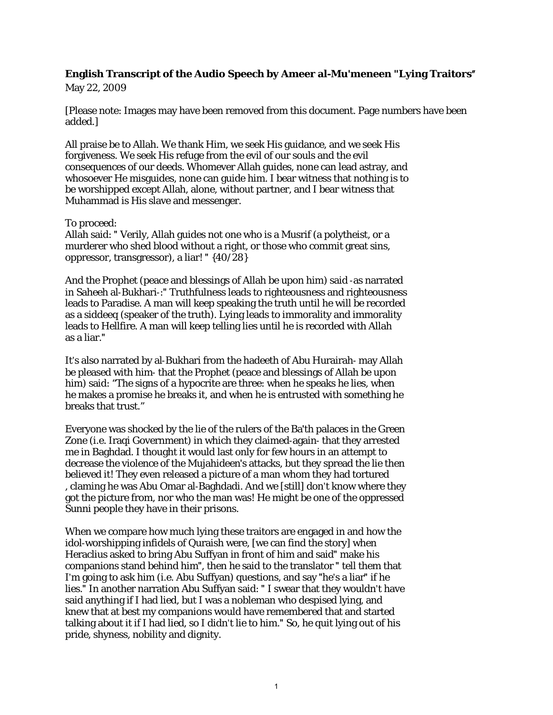## **English Transcript of the Audio Speech by Ameer al-Mu'meneen "Lying Traitors"** May 22, 2009

[Please note: Images may have been removed from this document. Page numbers have been added.]

All praise be to Allah. We thank Him, we seek His guidance, and we seek His forgiveness. We seek His refuge from the evil of our souls and the evil consequences of our deeds. Whomever Allah guides, none can lead astray, and whosoever He misguides, none can guide him. I bear witness that nothing is to be worshipped except Allah, alone, without partner, and I bear witness that Muhammad is His slave and messenger.

## To proceed:

Allah said: ʺ Verily, Allah guides not one who is a Musrif (a polytheist, or a murderer who shed blood without a right, or those who commit great sins, oppressor, transgressor), a liar! " {40/28}

And the Prophet (peace and blessings of Allah be upon him) said ‐as narrated in Saheeh al-Bukhari-:" Truthfulness leads to righteousness and righteousness leads to Paradise. A man will keep speaking the truth until he will be recorded as a siddeeq (speaker of the truth). Lying leads to immorality and immorality leads to Hellfire. A man will keep telling lies until he is recorded with Allah as a liar.ʺ

It's also narrated by al‐Bukhari from the hadeeth of Abu Hurairah‐ may Allah be pleased with him‐ that the Prophet (peace and blessings of Allah be upon him) said: "The signs of a hypocrite are three: when he speaks he lies, when he makes a promise he breaks it, and when he is entrusted with something he breaks that trust."

Everyone was shocked by the lie of the rulers of the Baʹth palaces in the Green Zone (i.e. Iraqi Government) in which they claimed‐again‐ that they arrested me in Baghdad. I thought it would last only for few hours in an attempt to decrease the violence of the Mujahideenʹs attacks, but they spread the lie then believed it! They even released a picture of a man whom they had tortured , claming he was Abu Omar al‐Baghdadi. And we [still] don't know where they got the picture from, nor who the man was! He might be one of the oppressed Sunni people they have in their prisons.

When we compare how much lying these traitors are engaged in and how the idol-worshipping infidels of Quraish were, [we can find the story] when Heraclius asked to bring Abu Suffyan in front of him and said" make his companions stand behind him", then he said to the translator " tell them that I'm going to ask him (i.e. Abu Suffyan) questions, and say "he's a liar" if he lies." In another narration Abu Suffyan said: " I swear that they wouldn't have said anything if I had lied, but I was a nobleman who despised lying, and knew that at best my companions would have remembered that and started talking about it if I had lied, so I didn't lie to him." So, he quit lying out of his pride, shyness, nobility and dignity.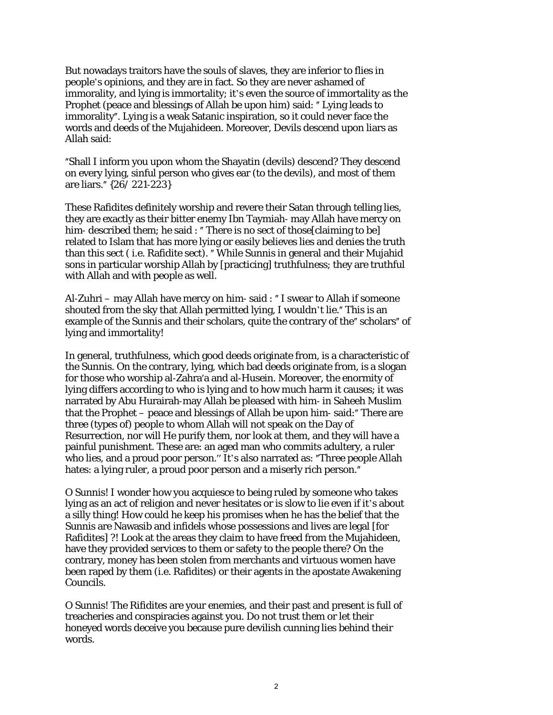But nowadays traitors have the souls of slaves, they are inferior to flies in people's opinions, and they are in fact. So they are never ashamed of immorality, and lying is immortality; it's even the source of immortality as the Prophet (peace and blessings of Allah be upon him) said: "Lying leads to immorality". Lying is a weak Satanic inspiration, so it could never face the words and deeds of the Mujahideen. Moreover, Devils descend upon liars as Allah said:

ʺShall I inform you upon whom the Shayatin (devils) descend? They descend on every lying, sinful person who gives ear (to the devils), and most of them are liars.ʺ {26/ 221‐223}

These Rafidites definitely worship and revere their Satan through telling lies, they are exactly as their bitter enemy Ibn Taymiah‐ may Allah have mercy on him-described them; he said : " There is no sect of those [claiming to be] related to Islam that has more lying or easily believes lies and denies the truth than this sect (i.e. Rafidite sect). "While Sunnis in general and their Mujahid sons in particular worship Allah by [practicing] truthfulness; they are truthful with Allah and with people as well.

Al-Zuhri – may Allah have mercy on him-said : "I swear to Allah if someone shouted from the sky that Allah permitted lying, I wouldn't lie." This is an example of the Sunnis and their scholars, quite the contrary of the" scholars" of lying and immortality!

In general, truthfulness, which good deeds originate from, is a characteristic of the Sunnis. On the contrary, lying, which bad deeds originate from, is a slogan for those who worship al‐Zahraʹa and al‐Husein. Moreover, the enormity of lying differs according to who is lying and to how much harm it causes; it was narrated by Abu Hurairah‐may Allah be pleased with him‐ in Saheeh Muslim that the Prophet – peace and blessings of Allah be upon him-said:" There are three (types of) people to whom Allah will not speak on the Day of Resurrection, nor will He purify them, nor look at them, and they will have a painful punishment. These are: an aged man who commits adultery, a ruler who lies, and a proud poor person." It's also narrated as: "Three people Allah hates: a lying ruler, a proud poor person and a miserly rich person.

O Sunnis! I wonder how you acquiesce to being ruled by someone who takes lying as an act of religion and never hesitates or is slow to lie even if it's about a silly thing! How could he keep his promises when he has the belief that the Sunnis are Nawasib and infidels whose possessions and lives are legal [for Rafidites] ?! Look at the areas they claim to have freed from the Mujahideen, have they provided services to them or safety to the people there? On the contrary, money has been stolen from merchants and virtuous women have been raped by them (i.e. Rafidites) or their agents in the apostate Awakening Councils.

O Sunnis! The Rifidites are your enemies, and their past and present is full of treacheries and conspiracies against you. Do not trust them or let their honeyed words deceive you because pure devilish cunning lies behind their words.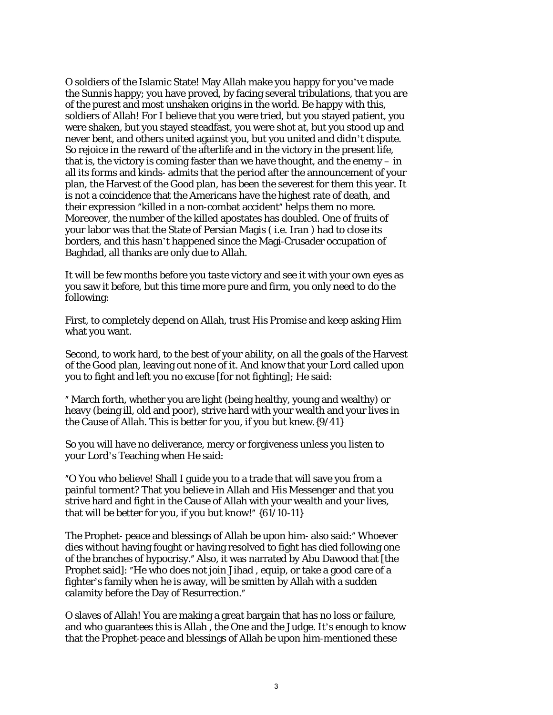O soldiers of the Islamic State! May Allah make you happy for you've made the Sunnis happy; you have proved, by facing several tribulations, that you are of the purest and most unshaken origins in the world. Be happy with this, soldiers of Allah! For I believe that you were tried, but you stayed patient, you were shaken, but you stayed steadfast, you were shot at, but you stood up and never bent, and others united against you, but you united and didn't dispute. So rejoice in the reward of the afterlife and in the victory in the present life, that is, the victory is coming faster than we have thought, and the enemy – in all its forms and kinds‐ admits that the period after the announcement of your plan, the Harvest of the Good plan, has been the severest for them this year. It is not a coincidence that the Americans have the highest rate of death, and their expression "killed in a non-combat accident" helps them no more. Moreover, the number of the killed apostates has doubled. One of fruits of your labor was that the State of Persian Magis ( i.e. Iran ) had to close its borders, and this hasn't happened since the Magi‐Crusader occupation of Baghdad, all thanks are only due to Allah.

It will be few months before you taste victory and see it with your own eyes as you saw it before, but this time more pure and firm, you only need to do the following:

First, to completely depend on Allah, trust His Promise and keep asking Him what you want.

Second, to work hard, to the best of your ability, on all the goals of the Harvest of the Good plan, leaving out none of it. And know that your Lord called upon you to fight and left you no excuse [for not fighting]; He said:

ʺ March forth, whether you are light (being healthy, young and wealthy) or heavy (being ill, old and poor), strive hard with your wealth and your lives in the Cause of Allah. This is better for you, if you but knew.{9/41}

So you will have no deliverance, mercy or forgiveness unless you listen to your Lord's Teaching when He said:

ʺO You who believe! Shall I guide you to a trade that will save you from a painful torment? That you believe in Allah and His Messenger and that you strive hard and fight in the Cause of Allah with your wealth and your lives, that will be better for you, if you but know!" {61/10-11}

The Prophet- peace and blessings of Allah be upon him- also said:" Whoever dies without having fought or having resolved to fight has died following one of the branches of hypocrisy." Also, it was narrated by Abu Dawood that [the Prophet said]: "He who does not join Jihad, equip, or take a good care of a fighter's family when he is away, will be smitten by Allah with a sudden calamity before the Day of Resurrection."

O slaves of Allah! You are making a great bargain that has no loss or failure, and who guarantees this is Allah , the One and the Judge. It's enough to know that the Prophet‐peace and blessings of Allah be upon him‐mentioned these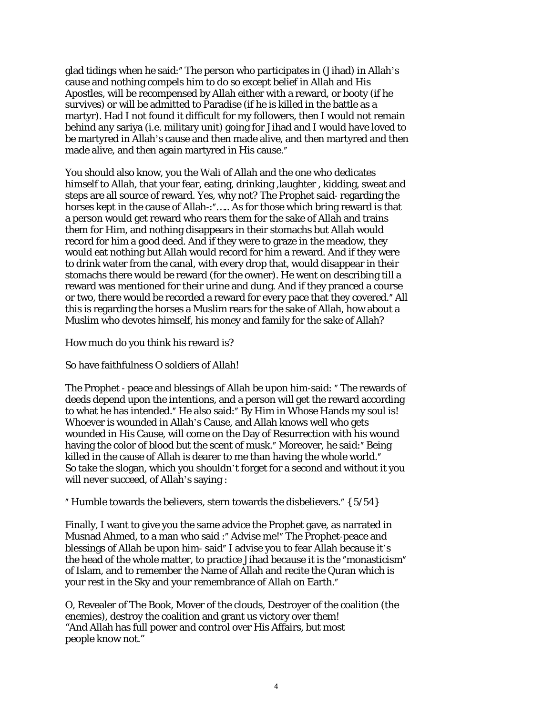glad tidings when he said: " The person who participates in (Jihad) in Allah's cause and nothing compels him to do so except belief in Allah and His Apostles, will be recompensed by Allah either with a reward, or booty (if he survives) or will be admitted to Paradise (if he is killed in the battle as a martyr). Had I not found it difficult for my followers, then I would not remain behind any sariya (i.e. military unit) going for Jihad and I would have loved to be martyred in Allah's cause and then made alive, and then martyred and then made alive, and then again martyred in His cause.

You should also know, you the Wali of Allah and the one who dedicates himself to Allah, that your fear, eating, drinking ,laughter , kidding, sweat and steps are all source of reward. Yes, why not? The Prophet said‐ regarding the horses kept in the cause of Allah–:"..... As for those which bring reward is that a person would get reward who rears them for the sake of Allah and trains them for Him, and nothing disappears in their stomachs but Allah would record for him a good deed. And if they were to graze in the meadow, they would eat nothing but Allah would record for him a reward. And if they were to drink water from the canal, with every drop that, would disappear in their stomachs there would be reward (for the owner). He went on describing till a reward was mentioned for their urine and dung. And if they pranced a course or two, there would be recorded a reward for every pace that they covered.<sup>"</sup> All this is regarding the horses a Muslim rears for the sake of Allah, how about a Muslim who devotes himself, his money and family for the sake of Allah?

How much do you think his reward is?

So have faithfulness O soldiers of Allah!

The Prophet - peace and blessings of Allah be upon him-said: "The rewards of deeds depend upon the intentions, and a person will get the reward according to what he has intended." He also said:" By Him in Whose Hands my soul is! Whoever is wounded in Allah's Cause, and Allah knows well who gets wounded in His Cause, will come on the Day of Resurrection with his wound having the color of blood but the scent of musk." Moreover, he said:" Being killed in the cause of Allah is dearer to me than having the whole world." So take the slogan, which you shouldn't forget for a second and without it you will never succeed, of Allah's saying :

" Humble towards the believers, stern towards the disbelievers."  $\{5/54\}$ 

Finally, I want to give you the same advice the Prophet gave, as narrated in Musnad Ahmed, to a man who said :" Advise me!" The Prophet-peace and blessings of Allah be upon him-said" I advise you to fear Allah because it's the head of the whole matter, to practice Jihad because it is the "monasticism" of Islam, and to remember the Name of Allah and recite the Quran which is your rest in the Sky and your remembrance of Allah on Earth."

O, Revealer of The Book, Mover of the clouds, Destroyer of the coalition (the enemies), destroy the coalition and grant us victory over them! "And Allah has full power and control over His Affairs, but most people know not."